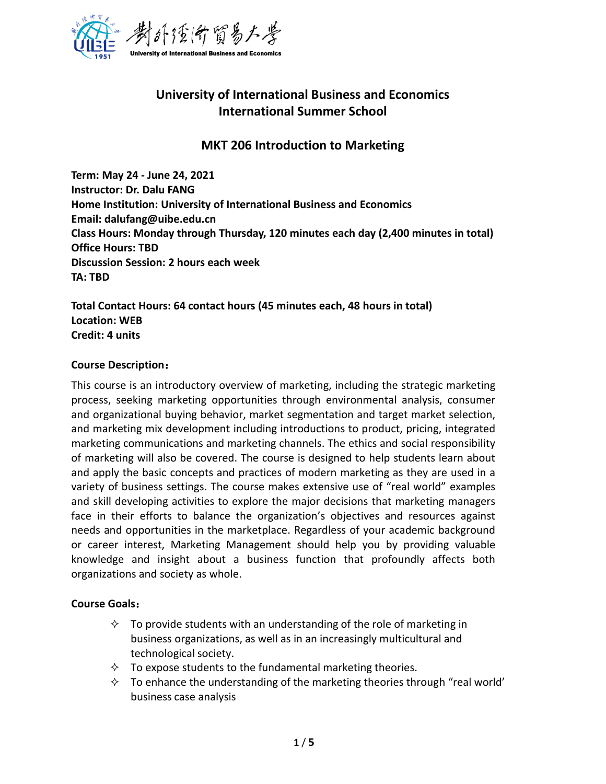

# **University of International Business and Economics International Summer School**

# **MKT 206 Introduction to Marketing**

**Term: May 24 - June 24, 2021 Instructor: Dr. Dalu FANG Home Institution: University of International Business and Economics Email: dalufang@uibe.edu.cn Class Hours: Monday through Thursday, 120 minutes each day (2,400 minutes in total) Office Hours: TBD Discussion Session: 2 hours each week TA: TBD**

**Total Contact Hours: 64 contact hours (45 minutes each, 48 hours in total) Location: WEB Credit: 4 units**

#### **Course Description**:

This course is an introductory overview of marketing, including the strategic marketing process, seeking marketing opportunities through environmental analysis, consumer and organizational buying behavior, market segmentation and target market selection, and marketing mix development including introductions to product, pricing, integrated marketing communications and marketing channels. The ethics and social responsibility of marketing will also be covered. The course is designed to help students learn about and apply the basic concepts and practices of modern marketing as they are used in a variety of business settings. The course makes extensive use of "real world" examples and skill developing activities to explore the major decisions that marketing managers face in their efforts to balance the organization's objectives and resources against needs and opportunities in the marketplace. Regardless of your academic background or career interest, Marketing Management should help you by providing valuable knowledge and insight about a business function that profoundly affects both organizations and society as whole.

#### **Course Goals**:

- $\Diamond$  To provide students with an understanding of the role of marketing in business organizations, as well as in an increasingly multicultural and technological society.
- $\Diamond$  To expose students to the fundamental marketing theories.
- $\Diamond$  To enhance the understanding of the marketing theories through "real world" business case analysis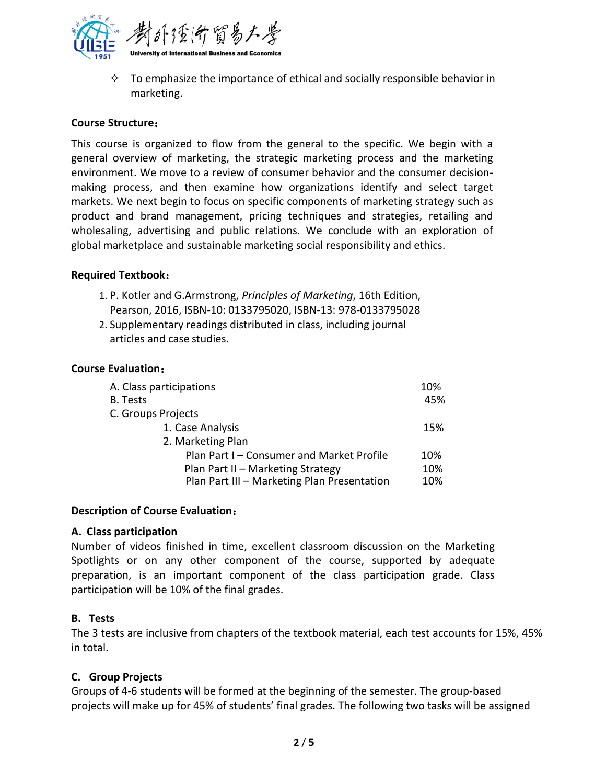

 $\Diamond$  To emphasize the importance of ethical and socially responsible behavior in marketing.

### **Course Structure**:

This course is organized to flow from the general to the specific. We begin with a general overview of marketing, the strategic marketing process and the marketing environment. We move to a review of consumer behavior and the consumer decisionmaking process, and then examine how organizations identify and select target markets. We next begin to focus on specific components of marketing strategy such as product and brand management, pricing techniques and strategies, retailing and wholesaling, advertising and public relations. We conclude with an exploration of global marketplace and sustainable marketing social responsibility and ethics.

### **Required Textbook**:

- 1. P. Kotler and G.Armstrong, *Principles of Marketing*, 16th Edition, Pearson, 2016, ISBN-10: 0133795020, ISBN-13: 978-0133795028
- 2. Supplementary readings distributed in class, including journal articles and case studies.

### **Course Evaluation**:

| A. Class participations                     |     |  |
|---------------------------------------------|-----|--|
| B. Tests                                    | 45% |  |
| C. Groups Projects                          |     |  |
| 1. Case Analysis                            | 15% |  |
| 2. Marketing Plan                           |     |  |
| Plan Part I - Consumer and Market Profile   | 10% |  |
| Plan Part II - Marketing Strategy           | 10% |  |
| Plan Part III - Marketing Plan Presentation | 10% |  |

### **Description of Course Evaluation**:

### **A. Class participation**

Number of videos finished in time, excellent classroom discussion on the Marketing Spotlights or on any other component of the course, supported by adequate preparation, is an important component of the class participation grade. Class participation will be 10% of the final grades.

## **B. Tests**

The 3 tests are inclusive from chapters of the textbook material, each test accounts for 15%, 45% in total.

## **C. Group Projects**

Groups of 4-6 students will be formed at the beginning of the semester. The group-based projects will make up for 45% of students' final grades. The following two tasks will be assigned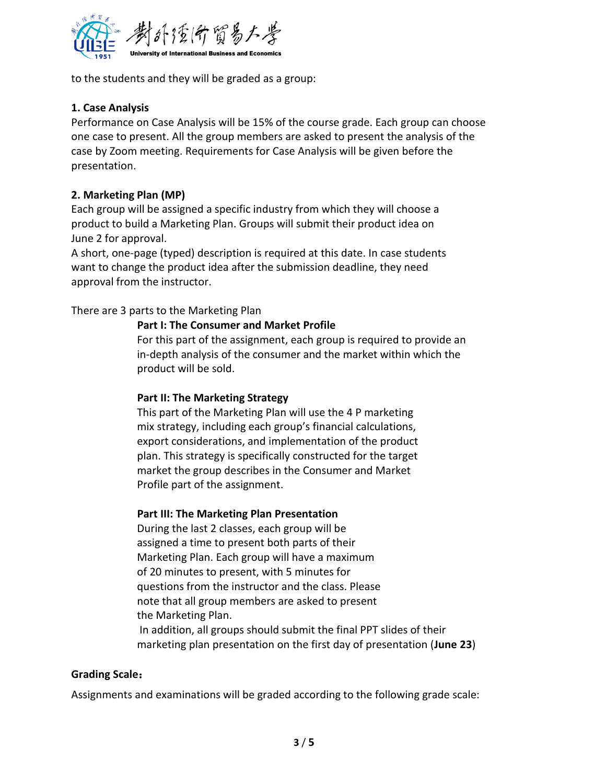

to the students and they will be graded as a group:

### **1. Case Analysis**

Performance on Case Analysis will be 15% of the course grade. Each group can choose one case to present. All the group members are asked to present the analysis of the case by Zoom meeting. Requirements for Case Analysis will be given before the presentation.

### **2. Marketing Plan (MP)**

Each group will be assigned a specific industry from which they will choose a product to build a Marketing Plan. Groups will submit their product idea on June 2 for approval.

A short, one-page (typed) description is required at this date. In case students want to change the product idea after the submission deadline, they need approval from the instructor.

There are 3 parts to the Marketing Plan

### **Part I: The Consumer and Market Profile**

For this part of the assignment, each group is required to provide an in-depth analysis of the consumer and the market within which the product will be sold.

### **Part II: The Marketing Strategy**

This part of the Marketing Plan will use the 4 P marketing mix strategy, including each group's financial calculations, export considerations, and implementation of the product plan. This strategy is specifically constructed for the target market the group describes in the Consumer and Market Profile part of the assignment.

### **Part III: The Marketing Plan Presentation**

During the last 2 classes, each group will be assigned a time to present both parts of their Marketing Plan. Each group will have a maximum of 20 minutes to present, with 5 minutes for questions from the instructor and the class. Please note that all group members are asked to present the Marketing Plan. In addition, all groups should submit the final PPT slides of their marketing plan presentation on the first day of presentation (**June 23**)

### **Grading Scale**:

Assignments and examinations will be graded according to the following grade scale: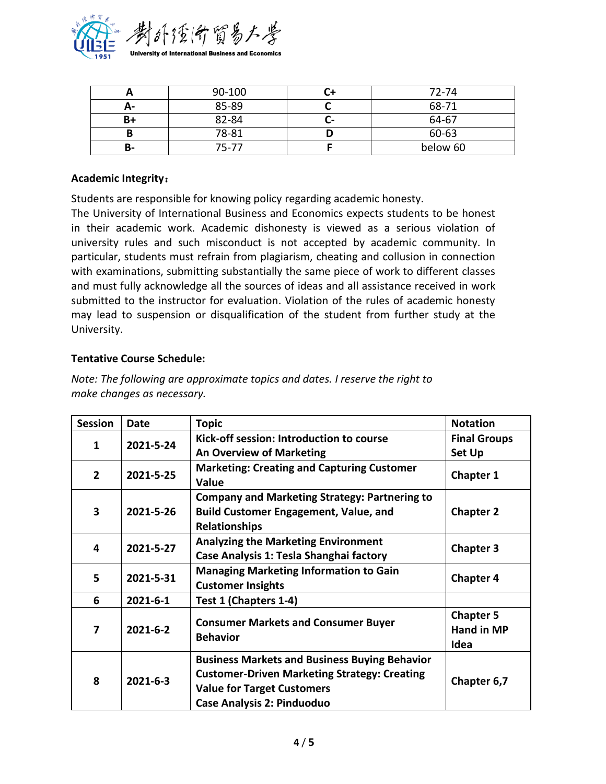

|    | 90-100 | 72-74    |
|----|--------|----------|
| А- | 85-89  | 68-71    |
| B+ | 82-84  | 64-67    |
|    | 78-81  | 60-63    |
| ь- | 75-77  | below 60 |

#### **Academic Integrity**:

Students are responsible for knowing policy regarding academic honesty.

The University of International Business and Economics expects students to be honest in their academic work. Academic dishonesty is viewed as a serious violation of university rules and such misconduct is not accepted by academic community. In particular, students must refrain from plagiarism, cheating and collusion in connection with examinations, submitting substantially the same piece of work to different classes and must fully acknowledge all the sources of ideas and all assistance received in work submitted to the instructor for evaluation. Violation of the rules of academic honesty may lead to suspension or disqualification of the student from further study at the University.

### **Tentative Course Schedule:**

| <b>Session</b>            | <b>Date</b>    | <b>Topic</b>                                                  | <b>Notation</b>     |
|---------------------------|----------------|---------------------------------------------------------------|---------------------|
| 2021-5-24<br>1            |                | Kick-off session: Introduction to course                      | <b>Final Groups</b> |
|                           |                | <b>An Overview of Marketing</b>                               | <b>Set Up</b>       |
| 2021-5-25<br>$\mathbf{2}$ |                | <b>Marketing: Creating and Capturing Customer</b>             |                     |
|                           |                | Value                                                         | <b>Chapter 1</b>    |
|                           |                | <b>Company and Marketing Strategy: Partnering to</b>          |                     |
| 3                         | 2021-5-26      | <b>Build Customer Engagement, Value, and</b>                  | <b>Chapter 2</b>    |
|                           |                | <b>Relationships</b>                                          |                     |
| 2021-5-27<br>4            |                | <b>Analyzing the Marketing Environment</b>                    |                     |
|                           |                | Case Analysis 1: Tesla Shanghai factory                       | <b>Chapter 3</b>    |
| 5                         | 2021-5-31      | <b>Managing Marketing Information to Gain</b>                 | <b>Chapter 4</b>    |
|                           |                | <b>Customer Insights</b>                                      |                     |
| 6                         | $2021 - 6 - 1$ | Test 1 (Chapters 1-4)                                         |                     |
| 7                         | $2021 - 6 - 2$ |                                                               | <b>Chapter 5</b>    |
|                           |                | <b>Consumer Markets and Consumer Buyer</b><br><b>Behavior</b> | <b>Hand in MP</b>   |
|                           |                |                                                               | Idea                |
| 8                         | $2021 - 6 - 3$ | <b>Business Markets and Business Buying Behavior</b>          |                     |
|                           |                | <b>Customer-Driven Marketing Strategy: Creating</b>           | Chapter 6,7         |
|                           |                | <b>Value for Target Customers</b>                             |                     |
|                           |                | <b>Case Analysis 2: Pinduoduo</b>                             |                     |

*Note: The following are approximate topics and dates. I reserve the right to make changes as necessary.*